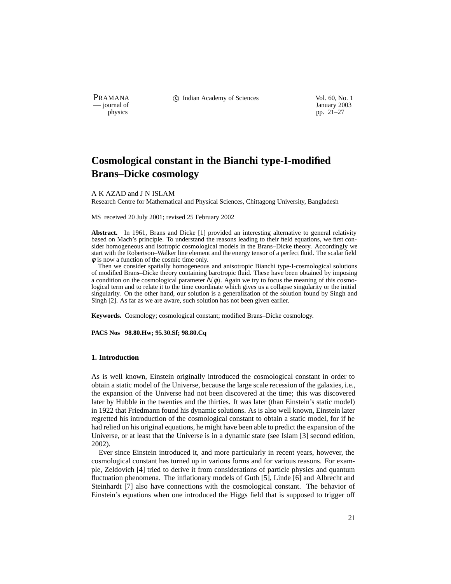— journal of January 2003

PRAMANA 
<sup>c</sup> Indian Academy of Sciences Vol. 60, No. 1 Units Use Vol. 60, No. 1 Units Vol. 60, No. 1 Units Vol. 60, No. 1 Units Vol. 60, No. 1 Units Vol. 60, No. 1 Units Vol. 60, No. 1 Units Vol. 60, No. 1 Units Vol. 60, N

physics pp.  $21-27$ 

# **Cosmological constant in the Bianchi type-I-modified Brans–Dicke cosmology**

#### A K AZAD and J N ISLAM

Research Centre for Mathematical and Physical Sciences, Chittagong University, Bangladesh

MS received 20 July 2001; revised 25 February 2002

**Abstract.** In 1961, Brans and Dicke [1] provided an interesting alternative to general relativity based on Mach's principle. To understand the reasons leading to their field equations, we first consider homogeneous and isotropic cosmological models in the Brans–Dicke theory. Accordingly we start with the Robertson–Walker line element and the energy tensor of a perfect fluid. The scalar field  $\phi$  is now a function of the cosmic time only.

Then we consider spatially homogeneous and anisotropic Bianchi type-I-cosmological solutions of modified Brans–Dicke theory containing barotropic fluid. These have been obtained by imposing a condition on the cosmological parameter  $\Lambda(\phi)$ . Again we try to focus the meaning of this cosmological term and to relate it to the time coordinate which gives us a collapse singularity or the initial singularity. On the other hand, our solution is a generalization of the solution found by Singh and Singh [2]. As far as we are aware, such solution has not been given earlier.

**Keywords.** Cosmology; cosmological constant; modified Brans–Dicke cosmology.

**PACS Nos 98.80.Hw; 95.30.Sf; 98.80.Cq**

#### **1. Introduction**

As is well known, Einstein originally introduced the cosmological constant in order to obtain a static model of the Universe, because the large scale recession of the galaxies, i.e., the expansion of the Universe had not been discovered at the time; this was discovered later by Hubble in the twenties and the thirties. It was later (than Einstein's static model) in 1922 that Friedmann found his dynamic solutions. As is also well known, Einstein later regretted his introduction of the cosmological constant to obtain a static model, for if he had relied on his original equations, he might have been able to predict the expansion of the Universe, or at least that the Universe is in a dynamic state (see Islam [3] second edition, 2002).

Ever since Einstein introduced it, and more particularly in recent years, however, the cosmological constant has turned up in various forms and for various reasons. For example, Zeldovich [4] tried to derive it from considerations of particle physics and quantum fluctuation phenomena. The inflationary models of Guth [5], Linde [6] and Albrecht and Steinhardt [7] also have connections with the cosmological constant. The behavior of Einstein's equations when one introduced the Higgs field that is supposed to trigger off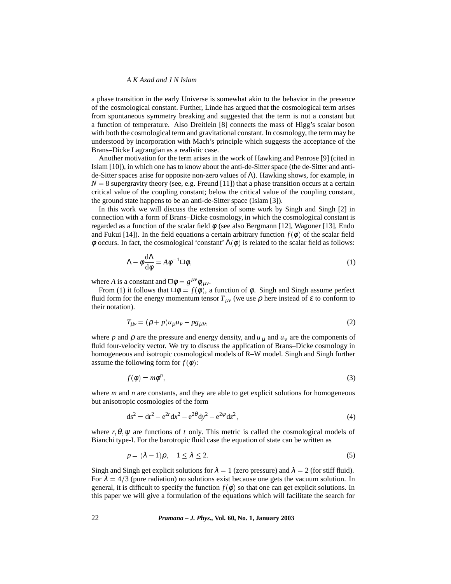# *A K Azad and J N Islam*

a phase transition in the early Universe is somewhat akin to the behavior in the presence of the cosmological constant. Further, Linde has argued that the cosmological term arises from spontaneous symmetry breaking and suggested that the term is not a constant but a function of temperature. Also Dreitlein [8] connects the mass of Higg's scalar boson with both the cosmological term and gravitational constant. In cosmology, the term may be understood by incorporation with Mach's principle which suggests the acceptance of the Brans–Dicke Lagrangian as a realistic case.

Another motivation for the term arises in the work of Hawking and Penrose [9] (cited in Islam [10]), in which one has to know about the anti-de-Sitter space (the de-Sitter and antide-Sitter spaces arise for opposite non-zero values of Λ). Hawking shows, for example, in  $N = 8$  supergravity theory (see, e.g. Freund [11]) that a phase transition occurs at a certain critical value of the coupling constant; below the critical value of the coupling constant, the ground state happens to be an anti-de-Sitter space (Islam [3]).

In this work we will discuss the extension of some work by Singh and Singh [2] in connection with a form of Brans–Dicke cosmology, in which the cosmological constant is regarded as a function of the scalar field  $\phi$  (see also Bergmann [12], Wagoner [13], Endo and Fukui [14]). In the field equations a certain arbitrary function  $f(\phi)$  of the scalar field  $\phi$  occurs. In fact, the cosmological 'constant'  $\Lambda(\phi)$  is related to the scalar field as follows:

$$
\Lambda - \phi \frac{d\Lambda}{d\phi} = A\phi^{-1} \Box \phi, \qquad (1)
$$

where *A* is a constant and  $\Box \phi = g^{\mu \nu} \phi_{;\mu \nu}$ .

From (1) it follows that  $\Box \phi = f(\phi)$ , a function of  $\phi$ . Singh and Singh assume perfect fluid form for the energy momentum tensor  $T_{\mu\nu}$  (we use  $\rho$  here instead of  $\varepsilon$  to conform to their notation).

$$
T_{\mu\nu} = (\rho + p)u_{\mu}u_{\nu} - pg_{\mu\nu},\tag{2}
$$

where *p* and  $\rho$  are the pressure and energy density, and  $u_{\mu}$  and  $u_{\nu}$  are the components of fluid four-velocity vector. We try to discuss the application of Brans–Dicke cosmology in homogeneous and isotropic cosmological models of R–W model. Singh and Singh further assume the following form for  $f(\phi)$ :

$$
f(\phi) = m\phi^n,\tag{3}
$$

where *m* and *n* are constants, and they are able to get explicit solutions for homogeneous but anisotropic cosmologies of the form

$$
ds^{2} = dt^{2} - e^{2r} dx^{2} - e^{2\theta} dy^{2} - e^{2\psi} dz^{2},
$$
\t(4)

where  $r, \theta, \psi$  are functions of *t* only. This metric is called the cosmological models of Bianchi type-I. For the barotropic fluid case the equation of state can be written as

$$
p = (\lambda - 1)\rho, \quad 1 \le \lambda \le 2. \tag{5}
$$

Singh and Singh get explicit solutions for  $\lambda = 1$  (zero pressure) and  $\lambda = 2$  (for stiff fluid). For  $\lambda = 4/3$  (pure radiation) no solutions exist because one gets the vacuum solution. In general, it is difficult to specify the function  $f(\phi)$  so that one can get explicit solutions. In this paper we will give a formulation of the equations which will facilitate the search for

22 *Pramana – J. Phys.,* **Vol. 60, No. 1, January 2003**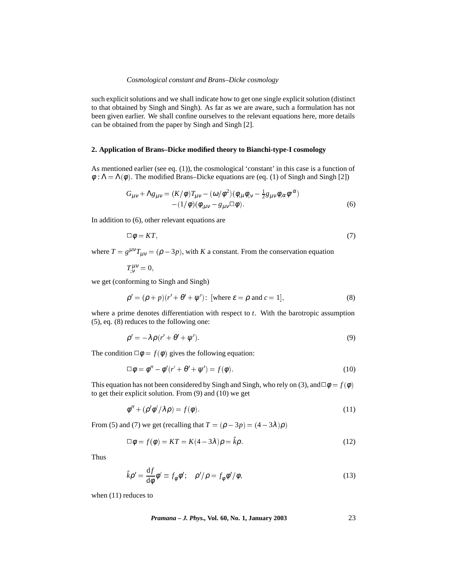#### *Cosmological constant and Brans–Dicke cosmology*

such explicit solutions and we shall indicate how to get one single explicit solution (distinct to that obtained by Singh and Singh). As far as we are aware, such a formulation has not been given earlier. We shall confine ourselves to the relevant equations here, more details can be obtained from the paper by Singh and Singh [2].

# **2. Application of Brans–Dicke modified theory to Bianchi-type-I cosmology**

As mentioned earlier (see eq. (1)), the cosmological 'constant' in this case is a function of  $\phi : \Lambda = \Lambda(\phi)$ . The modified Brans–Dicke equations are (eq. (1) of Singh and Singh [2])

$$
G_{\mu\nu} + \Lambda g_{\mu\nu} = (K/\phi)T_{\mu\nu} - (\omega/\phi^2)(\phi_{,\mu}\phi_{,\nu} - \frac{1}{2}g_{\mu\nu}\phi_{,\alpha}\phi^{,\alpha})
$$
  
 
$$
- (1/\phi)(\phi_{,\mu\nu} - g_{\mu\nu}\Box\phi).
$$
 (6)

In addition to (6), other relevant equations are

$$
\Box \phi = KT,\tag{7}
$$

where  $T = g^{\mu\nu}T_{\mu\nu} = (\rho - 3p)$ , with *K* a constant. From the conservation equation

 $T^{\mu\nu}_{;v}=0,$ 

we get (conforming to Singh and Singh)

$$
\rho' = (\rho + p)(r' + \theta' + \psi') : \text{ [where } \varepsilon = \rho \text{ and } c = 1], \tag{8}
$$

where a prime denotes differentiation with respect to *t*. With the barotropic assumption (5), eq. (8) reduces to the following one:

$$
\rho' = -\lambda \rho (r' + \theta' + \psi'). \tag{9}
$$

The condition  $\Box \phi = f(\phi)$  gives the following equation:

$$
\Box \phi = \phi'' - \phi'(r' + \theta' + \psi') = f(\phi). \tag{10}
$$

This equation has not been considered by Singh and Singh, who rely on (3), and  $\Box \phi = f(\phi)$ to get their explicit solution. From (9) and (10) we get

$$
\phi'' + (\rho' \phi' / \lambda \rho) = f(\phi). \tag{11}
$$

From (5) and (7) we get (recalling that  $T = (\rho - 3p) = (4 - 3\lambda)\rho$ )

$$
\Box \phi = f(\phi) = KT = K(4 - 3\lambda)\rho = \hat{k}\rho. \tag{12}
$$

Thus

$$
\hat{k}\rho' = \frac{\mathrm{d}f}{\mathrm{d}\phi}\phi' \equiv f_{\phi}\phi'; \quad \rho'/\rho = f_{\phi}\phi'/\phi,
$$
\n(13)

when (11) reduces to

*Pramana – J. Phys.,* **Vol. 60, No. 1, January 2003** 23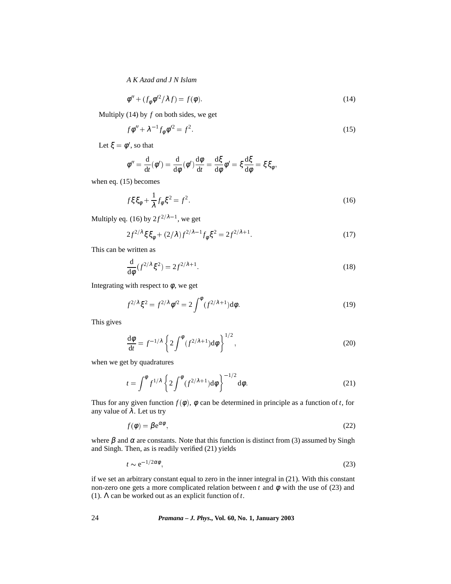*A K Azad and J N Islam*

$$
\phi'' + (f_{\phi} \phi'^2 / \lambda f) = f(\phi). \tag{14}
$$

Multiply (14) by *f* on both sides, we get

$$
f\phi'' + \lambda^{-1} f_{\phi} \phi'^2 = f^2. \tag{15}
$$

Let  $\xi = \phi'$ , so that

$$
\phi'' = \frac{d}{dt}(\phi') = \frac{d}{d\phi}(\phi')\frac{d\phi}{dt} = \frac{d\xi}{d\phi}\phi' = \xi\frac{d\xi}{d\phi} = \xi\xi_{\phi},
$$

when eq. (15) becomes

$$
f\xi \xi_{\phi} + \frac{1}{\lambda} f_{\phi} \xi^2 = f^2. \tag{16}
$$

Multiply eq. (16) by  $2f^{2/\lambda-1}$ , we get

$$
2f^{2/\lambda}\xi\xi_{\phi} + (2/\lambda)f^{2/\lambda - 1}f_{\phi}\xi^{2} = 2f^{2/\lambda + 1}.
$$
 (17)

This can be written as

$$
\frac{\mathrm{d}}{\mathrm{d}\phi}(f^{2/\lambda}\xi^2) = 2f^{2/\lambda+1}.\tag{18}
$$

Integrating with respect to  $\phi$ , we get

$$
f^{2/\lambda}\xi^2 = f^{2/\lambda}\phi'^2 = 2\int^{\phi} (f^{2/\lambda+1})d\phi.
$$
 (19)

This gives

$$
\frac{\mathrm{d}\phi}{\mathrm{d}t} = f^{-1/\lambda} \left\{ 2 \int^{\phi} (f^{2/\lambda+1}) \mathrm{d}\phi \right\}^{1/2},\tag{20}
$$

when we get by quadratures

$$
t = \int^{\phi} f^{1/\lambda} \left\{ 2 \int^{\phi} (f^{2/\lambda + 1}) d\phi \right\}^{-1/2} d\phi.
$$
 (21)

Thus for any given function  $f(\phi)$ ,  $\phi$  can be determined in principle as a function of *t*, for any value of  $\lambda$ . Let us try

$$
f(\phi) = \beta e^{\alpha \phi},\tag{22}
$$

where  $\beta$  and  $\alpha$  are constants. Note that this function is distinct from (3) assumed by Singh and Singh. Then, as is readily verified (21) yields

$$
t \sim e^{-1/2\alpha\phi},\tag{23}
$$

if we set an arbitrary constant equal to zero in the inner integral in (21). With this constant non-zero one gets a more complicated relation between *t* and  $φ$  with the use of (23) and (1). Λ can be worked out as an explicit function of*t*.

24 *Pramana – J. Phys.,* **Vol. 60, No. 1, January 2003**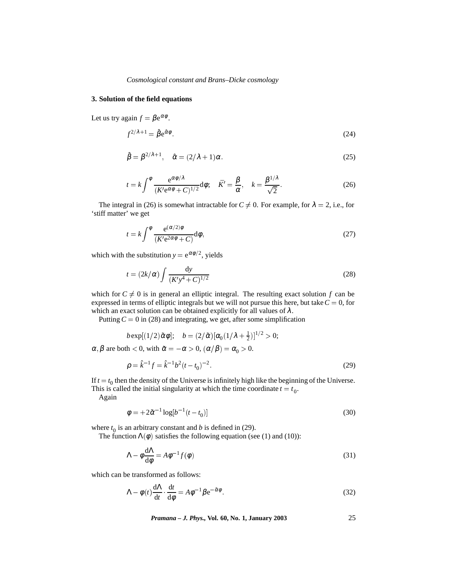# **3. Solution of the field equations**

Let us try again  $f = \beta e^{\alpha \phi}$ .

$$
f^{2/\lambda+1} = \hat{\beta} e^{\hat{\alpha}\phi}.
$$
 (24)

$$
\hat{\beta} = \beta^{2/\lambda + 1}, \quad \hat{\alpha} = (2/\lambda + 1)\alpha. \tag{25}
$$

$$
t = k \int^{\phi} \frac{e^{\alpha \phi/\lambda}}{(K' e^{\alpha \phi} + C)^{1/2}} d\phi; \quad \bar{K}' = \frac{\beta}{\alpha}, \quad k = \frac{\beta^{1/\lambda}}{\sqrt{2}}.
$$
 (26)

The integral in (26) is somewhat intractable for  $C \neq 0$ . For example, for  $\lambda = 2$ , i.e., for 'stiff matter' we get

$$
t = k \int^{\phi} \frac{e^{(\alpha/2)\phi}}{(K'e^{2\alpha\phi} + C)} d\phi,
$$
 (27)

which with the substitution  $y = e^{\alpha \phi/2}$ , yields

$$
t = (2k/\alpha) \int \frac{dy}{(K'y^4 + C)^{1/2}}
$$
 (28)

which for  $C \neq 0$  is in general an elliptic integral. The resulting exact solution *f* can be expressed in terms of elliptic integrals but we will not pursue this here, but take  $C = 0$ , for which an exact solution can be obtained explicitly for all values of  $\lambda$ .

Putting  $C = 0$  in (28) and integrating, we get, after some simplification

$$
b \exp[(1/2)\tilde{\alpha}\phi]; \quad b = (2/\tilde{\alpha})[\alpha_0(1/\lambda + \frac{1}{2})]^{1/2} > 0;
$$

 $\alpha, \beta$  are both  $< 0$ , with  $\tilde{\alpha} = -\alpha > 0$ ,  $(\alpha/\beta) = \alpha_0 > 0$ .

$$
\rho = \hat{k}^{-1} f = \hat{k}^{-1} b^2 (t - t_0)^{-2}.
$$
\n(29)

If  $t = t_0$  then the density of the Universe is infinitely high like the beginning of the Universe. This is called the initial singularity at which the time coordinate  $t = t_0$ .

Again

$$
\phi = +2\tilde{\alpha}^{-1}\log[b^{-1}(t - t_0)]
$$
\n(30)

where  $t_0$  is an arbitrary constant and *b* is defined in (29).

The function  $\Lambda(\phi)$  satisfies the following equation (see (1) and (10)):

$$
\Lambda - \phi \frac{d\Lambda}{d\phi} = A\phi^{-1} f(\phi)
$$
\n(31)

which can be transformed as follows:

$$
\Lambda - \phi(t) \frac{d\Lambda}{dt} \cdot \frac{dt}{d\phi} = A\phi^{-1} \beta e^{-\tilde{\alpha}\phi}.
$$
 (32)

*Pramana – J. Phys.,* **Vol. 60, No. 1, January 2003** 25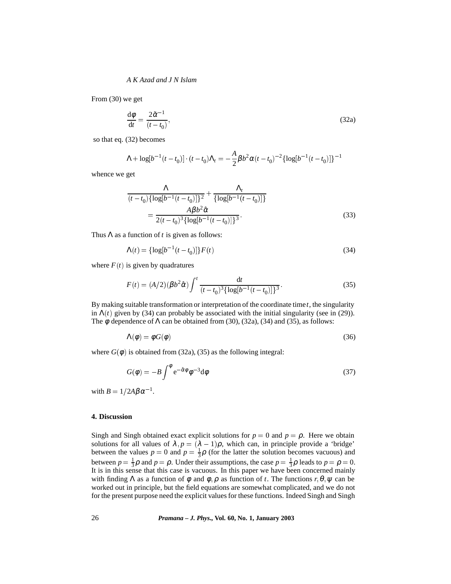# *A K Azad and J N Islam*

From (30) we get

$$
\frac{\mathrm{d}\phi}{\mathrm{d}t} = \frac{2\tilde{\alpha}^{-1}}{(t - t_0)},\tag{32a}
$$

so that eq. (32) becomes

$$
\Lambda + \log[b^{-1}(t - t_0)] \cdot (t - t_0) \Lambda_t = -\frac{A}{2} \beta b^2 \alpha (t - t_0)^{-2} {\log[b^{-1}(t - t_0)]}^{-1}
$$

whence we get

$$
\frac{\Lambda}{(t-t_0)\{\log[b^{-1}(t-t_0)]\}^2} + \frac{\Lambda_t}{\{\log[b^{-1}(t-t_0)]\}}
$$

$$
= \frac{A\beta b^2 \hat{\alpha}}{2(t-t_0)^3 \{\log[b^{-1}(t-t_0)]\}^3}.
$$
(33)

Thus  $\Lambda$  as a function of *t* is given as follows:

$$
\Lambda(t) = {\log[b^{-1}(t - t_0)]} F(t)
$$
\n(34)

where  $F(t)$  is given by quadratures

$$
F(t) = (A/2)(\beta b^2 \hat{\alpha}) \int^t \frac{dt}{(t - t_0)^3 \{ \log[b^{-1}(t - t_0)] \}^3}.
$$
 (35)

By making suitable transformation or interpretation of the coordinate time*t*, the singularity in  $\Lambda(t)$  given by (34) can probably be associated with the initial singularity (see in (29)). The  $\phi$  dependence of  $\Lambda$  can be obtained from (30), (32a), (34) and (35), as follows:

$$
\Lambda(\phi) = \phi G(\phi) \tag{36}
$$

where  $G(\phi)$  is obtained from (32a), (35) as the following integral:

$$
G(\phi) = -B \int^{\phi} e^{-\hat{\alpha}\phi} \phi^{-3} d\phi \tag{37}
$$

with  $B = 1/2A\beta\alpha^{-1}$ .

# **4. Discussion**

Singh and Singh obtained exact explicit solutions for  $p = 0$  and  $p = \rho$ . Here we obtain solutions for all values of  $\lambda$ ,  $p = (\lambda - 1)\rho$ , which can, in principle provide a 'bridge' between the values  $p = 0$  and  $p = \frac{1}{3}\rho$  (for the latter the solution becomes vacuous) and between  $p = \frac{1}{3}\rho$  and  $p = \rho$ . Under their assumptions, the case  $p = \frac{1}{3}\rho$  leads to  $p = \rho = 0$ . It is in this sense that this case is vacuous. In this paper we have been concerned mainly with finding  $\Lambda$  as a function of  $\phi$  and  $\phi$ ,  $\rho$  as function of *t*. The functions  $r, \theta, \psi$  can be worked out in principle, but the field equations are somewhat complicated, and we do not for the present purpose need the explicit values for these functions. Indeed Singh and Singh

26 *Pramana – J. Phys.,* **Vol. 60, No. 1, January 2003**